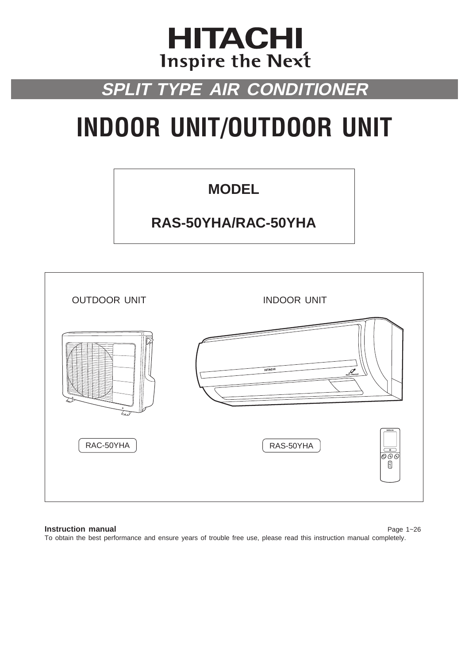## **HITACHI** Inspire the Next

## **SPLIT TYPE AIR CONDITIONER**

# **INDOOR UNIT/OUTDOOR UNIT**

## **MODEL**

## **RAS-50YHA/RAC-50YHA**



### **Instruction manual** Page 1~26

**ENGLISH**

To obtain the best performance and ensure years of trouble free use, please read this instruction manual completely.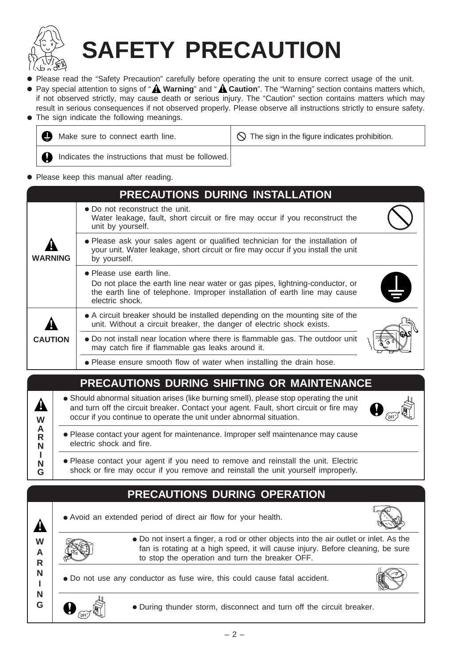

# **SAFETY PRECAUTION**

- Please read the "Safety Precaution" carefully before operating the unit to ensure correct usage of the unit.
- Pay special attention to signs of "A Warning" and "A Caution". The "Warning" section contains matters which, if not observed strictly, may cause death or serious injury. The "Caution" section contains matters which may result in serious consequences if not observed properly. Please observe all instructions strictly to ensure safety.
- The sign indicate the following meanings.

| Ø | Make sure to connect earth line.                  | $\sqrt{1}$ $\Diamond$ The sign in the figure indicates prohibition. |
|---|---------------------------------------------------|---------------------------------------------------------------------|
|   | Indicates the instructions that must be followed. |                                                                     |

● Please keep this manual after reading.

### **WARNING PRECAUTIONS DURING INSTALLATION** ● Do not reconstruct the unit. Water leakage, fault, short circuit or fire may occur if you reconstruct the unit by yourself. ● Please ask your sales agent or qualified technician for the installation of your unit. Water leakage, short circuit or fire may occur if you install the unit by yourself. ● Please use earth line. Do not place the earth line near water or gas pipes, lightning-conductor, or the earth line of telephone. Improper installation of earth line may cause electric shock. ● A circuit breaker should be installed depending on the mounting site of the unit. Without a circuit breaker, the danger of electric shock exists. ● Do not install near location where there is flammable gas. The outdoor unit may catch fire if flammable gas leaks around it. ● Please ensure smooth flow of water when installing the drain hose. **CAUTION ! !**

## **PRECAUTIONS DURING SHIFTING OR MAINTENANCE**

- Should abnormal situation arises (like burning smell), please stop operating the unit and turn off the circuit breaker. Contact your agent. Fault, short circuit or fire may occur if you continue to operate the unit under abnormal situation.
	- Please contact your agent for maintenance. Improper self maintenance may cause electric shock and fire.
	- Please contact your agent if you need to remove and reinstall the unit. Electric shock or fire may occur if you remove and reinstall the unit yourself improperly.

## **PRECAUTIONS DURING OPERATION**

• Avoid an extended period of direct air flow for your health.



**W A R N !**

**W A R N I N G**

**!**

**I N G**

- Do not insert a finger, a rod or other objects into the air outlet or inlet. As the fan is rotating at a high speed, it will cause injury. Before cleaning, be sure to stop the operation and turn the breaker OFF.
- Do not use any conductor as fuse wire, this could cause fatal accident.



● During thunder storm, disconnect and turn off the circuit breaker.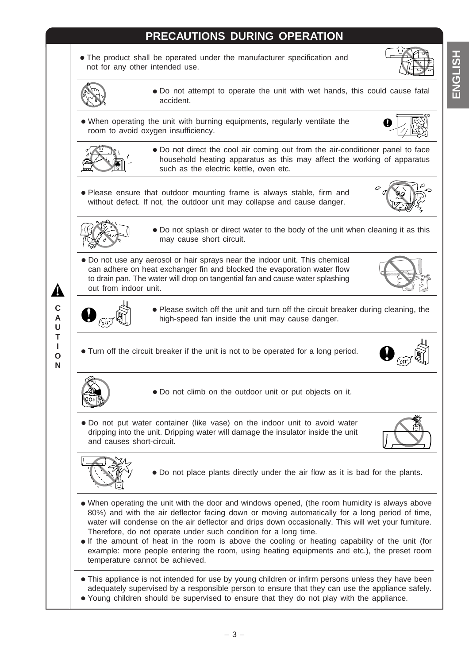## **PRECAUTIONS DURING OPERATION**

● The product shall be operated under the manufacturer specification and not for any other intended use.





● Do not attempt to operate the unit with wet hands, this could cause fatal accident.

● When operating the unit with burning equipments, regularly ventilate the room to avoid oxygen insufficiency.





● Do not direct the cool air coming out from the air-conditioner panel to face household heating apparatus as this may affect the working of apparatus such as the electric kettle, oven etc.

● Please ensure that outdoor mounting frame is always stable, firm and without defect. If not, the outdoor unit may collapse and cause danger.





● Do not splash or direct water to the body of the unit when cleaning it as this may cause short circuit.

● Please switch off the unit and turn off the circuit breaker during cleaning, the

● Do not use any aerosol or hair sprays near the indoor unit. This chemical can adhere on heat exchanger fin and blocked the evaporation water flow to drain pan. The water will drop on tangential fan and cause water splashing out from indoor unit.





**!**

 $\bigoplus$   $_{\widehat{{\mathcal C}\text{off}}}$ ● Turn off the circuit breaker if the unit is not to be operated for a long period.

**N**



● Do not climb on the outdoor unit or put objects on it.

high-speed fan inside the unit may cause danger.

● Do not put water container (like vase) on the indoor unit to avoid water dripping into the unit. Dripping water will damage the insulator inside the unit and causes short-circuit.





- Do not place plants directly under the air flow as it is bad for the plants.
- When operating the unit with the door and windows opened, (the room humidity is always above 80%) and with the air deflector facing down or moving automatically for a long period of time, water will condense on the air deflector and drips down occasionally. This will wet your furniture. Therefore, do not operate under such condition for a long time.
- If the amount of heat in the room is above the cooling or heating capability of the unit (for example: more people entering the room, using heating equipments and etc.), the preset room temperature cannot be achieved.
- This appliance is not intended for use by young children or infirm persons unless they have been adequately supervised by a responsible person to ensure that they can use the appliance safely.
- Young children should be supervised to ensure that they do not play with the appliance.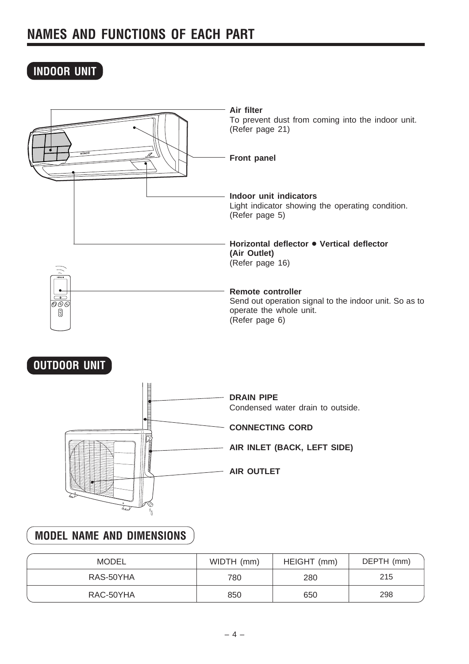## **INDOOR UNIT**



## **OUTDOOR UNIT**



## **MODEL NAME AND DIMENSIONS**

| <b>MODEL</b> | WIDTH (mm) | HEIGHT (mm) | DEPTH (mm) |
|--------------|------------|-------------|------------|
| RAS-50YHA    | 780        | 280         | 215        |
| RAC-50YHA    | 850        | 650         | 298        |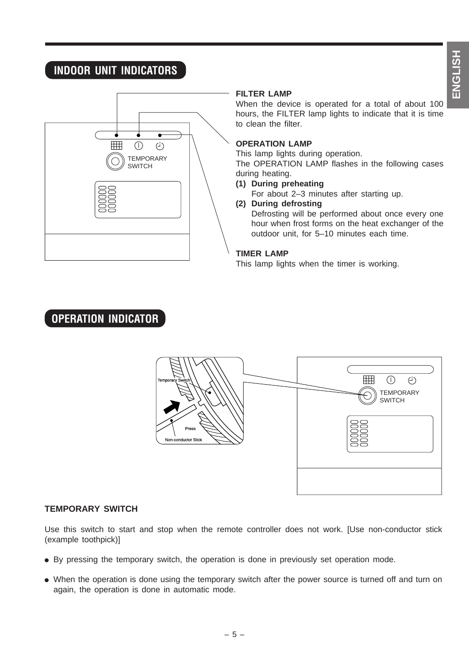## **INDOOR UNIT INDICATORS**



### **FILTER LAMP**

When the device is operated for a total of about 100 hours, the FILTER lamp lights to indicate that it is time to clean the filter.

### **OPERATION LAMP**

This lamp lights during operation.

The OPERATION LAMP flashes in the following cases during heating.

### **(1) During preheating**

For about 2–3 minutes after starting up.

### **(2) During defrosting**

Defrosting will be performed about once every one hour when frost forms on the heat exchanger of the outdoor unit, for 5–10 minutes each time.

### **TIMER LAMP**

This lamp lights when the timer is working.

## **OPERATION INDICATOR**



### **TEMPORARY SWITCH**

Use this switch to start and stop when the remote controller does not work. [Use non-conductor stick (example toothpick)]

- By pressing the temporary switch, the operation is done in previously set operation mode.
- When the operation is done using the temporary switch after the power source is turned off and turn on again, the operation is done in automatic mode.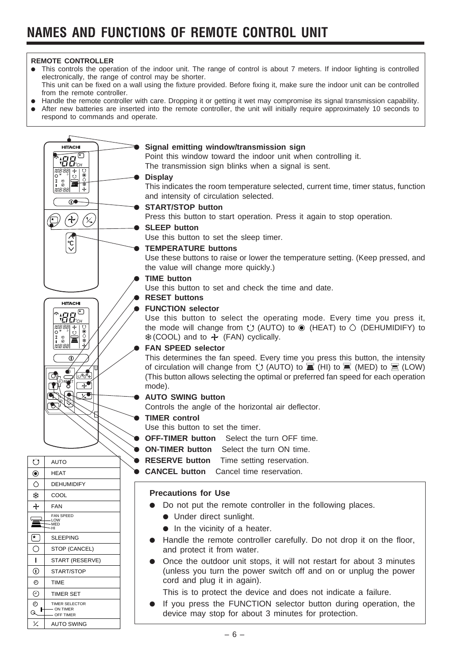### **REMOTE CONTROLLER**

- This controls the operation of the indoor unit. The range of control is about 7 meters. If indoor lighting is controlled electronically, the range of control may be shorter. This unit can be fixed on a wall using the fixture provided. Before fixing it, make sure the indoor unit can be controlled from the remote controller.
- Handle the remote controller with care. Dropping it or getting it wet may compromise its signal transmission capability.
- After new batteries are inserted into the remote controller, the unit will initially require approximately 10 seconds to respond to commands and operate.

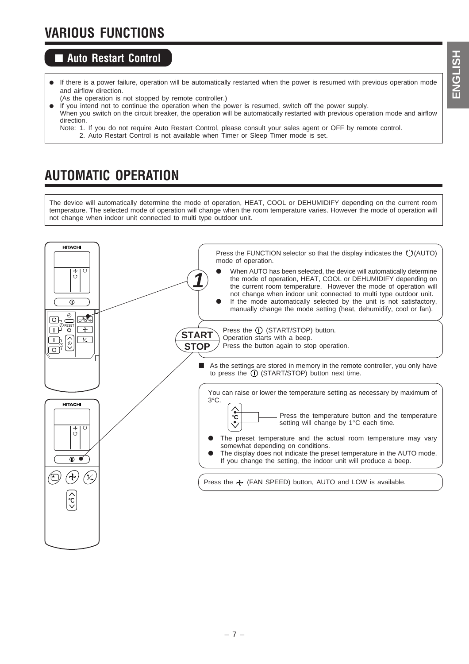## **VARIOUS FUNCTIONS**

## ■ Auto Restart Control

- If there is a power failure, operation will be automatically restarted when the power is resumed with previous operation mode and airflow direction.
- (As the operation is not stopped by remote controller.)
- If you intend not to continue the operation when the power is resumed, switch off the power supply.
- When you switch on the circuit breaker, the operation will be automatically restarted with previous operation mode and airflow direction.
	- Note: 1. If you do not require Auto Restart Control, please consult your sales agent or OFF by remote control. 2. Auto Restart Control is not available when Timer or Sleep Timer mode is set.

## **AUTOMATIC OPERATION**

The device will automatically determine the mode of operation, HEAT, COOL or DEHUMIDIFY depending on the current room temperature. The selected mode of operation will change when the room temperature varies. However the mode of operation will not change when indoor unit connected to multi type outdoor unit.

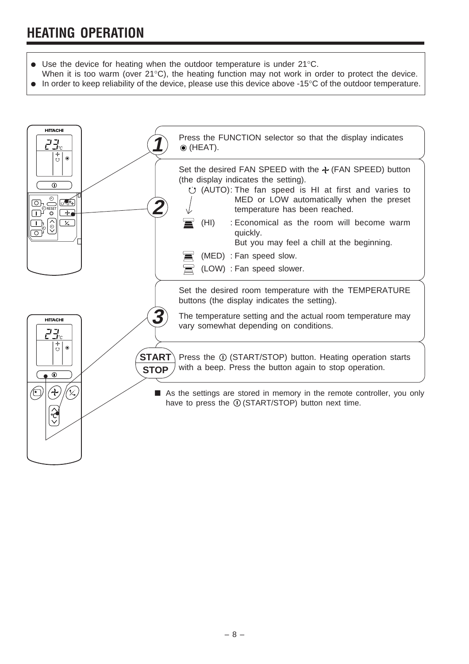- Use the device for heating when the outdoor temperature is under  $21^{\circ}$ C.
- When it is too warm (over 21°C), the heating function may not work in order to protect the device.
- In order to keep reliability of the device, please use this device above -15<sup>°</sup>C of the outdoor temperature.

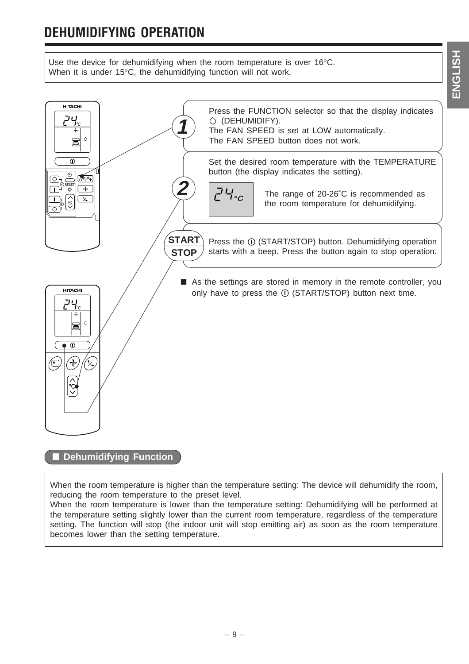## **DEHUMIDIFYING OPERATION**

Use the device for dehumidifying when the room temperature is over 16°C. When it is under 15°C, the dehumidifying function will not work.



When the room temperature is higher than the temperature setting: The device will dehumidify the room, reducing the room temperature to the preset level.

When the room temperature is lower than the temperature setting: Dehumidifying will be performed at the temperature setting slightly lower than the current room temperature, regardless of the temperature setting. The function will stop (the indoor unit will stop emitting air) as soon as the room temperature becomes lower than the setting temperature.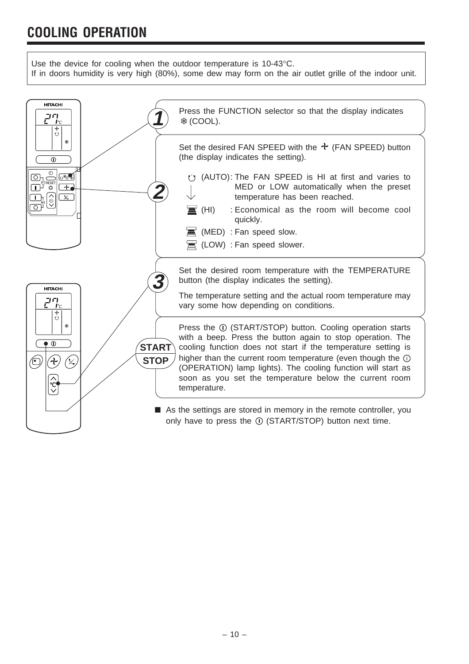## **COOLING OPERATION**

Use the device for cooling when the outdoor temperature is 10-43°C.

If in doors humidity is very high (80%), some dew may form on the air outlet grille of the indoor unit.

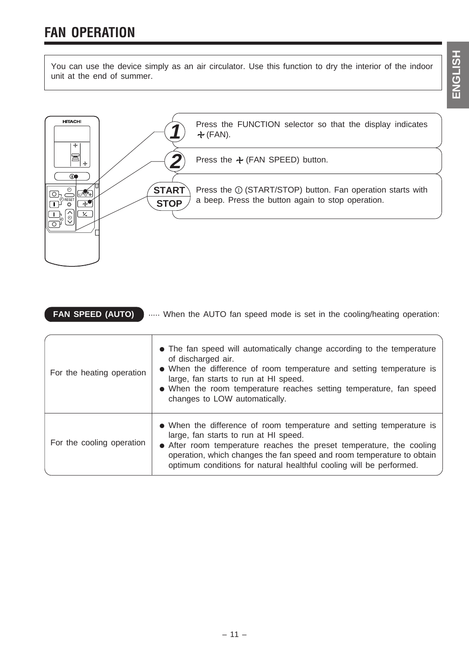You can use the device simply as an air circulator. Use this function to dry the interior of the indoor unit at the end of summer.



| <b>FAN SPEED (AUTO)</b><br>When the AUTO fan speed mode is set in the cooling/heating operation: |                                                                                                                                                                                                                                                                                                                                       |  |  |
|--------------------------------------------------------------------------------------------------|---------------------------------------------------------------------------------------------------------------------------------------------------------------------------------------------------------------------------------------------------------------------------------------------------------------------------------------|--|--|
| For the heating operation                                                                        | • The fan speed will automatically change according to the temperature<br>of discharged air.<br>• When the difference of room temperature and setting temperature is<br>large, fan starts to run at HI speed.<br>• When the room temperature reaches setting temperature, fan speed<br>changes to LOW automatically.                  |  |  |
| For the cooling operation                                                                        | • When the difference of room temperature and setting temperature is<br>large, fan starts to run at HI speed.<br>• After room temperature reaches the preset temperature, the cooling<br>operation, which changes the fan speed and room temperature to obtain<br>optimum conditions for natural healthful cooling will be performed. |  |  |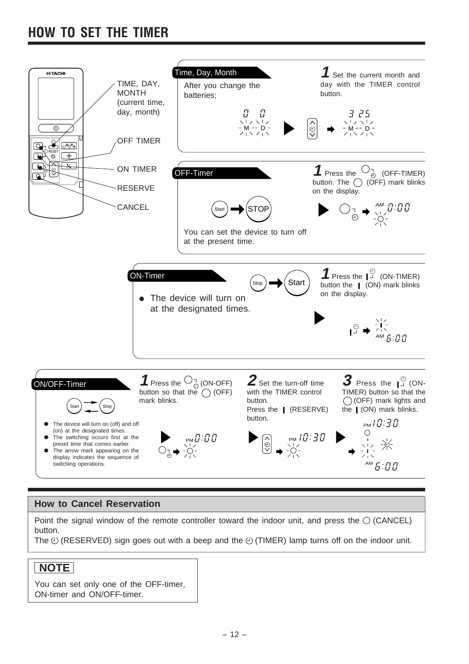## **HOW TO SET THE TIMER**



### **How to Cancel Reservation**

Point the signal window of the remote controller toward the indoor unit, and press the  $\bigcirc$  (CANCEL) button.

The  $\odot$  (RESERVED) sign goes out with a beep and the  $\odot$  (TIMER) lamp turns off on the indoor unit.

## **NOTE**

You can set only one of the OFF-timer, ON-timer and ON/OFF-timer.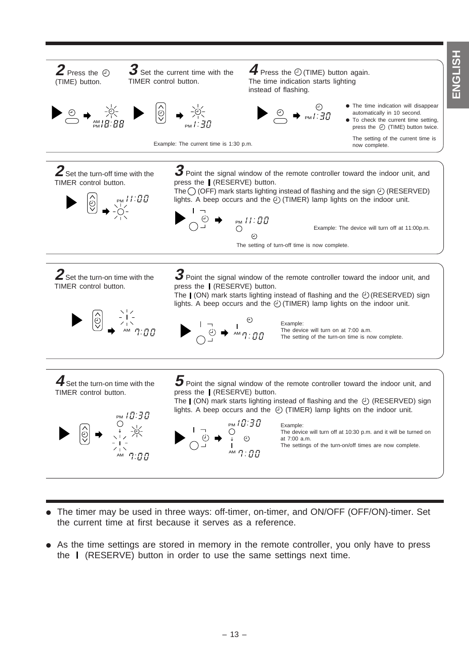**HSLISKE ENGLISH**



- The timer may be used in three ways: off-timer, on-timer, and ON/OFF (OFF/ON)-timer. Set the current time at first because it serves as a reference.
- As the time settings are stored in memory in the remote controller, you only have to press the (RESERVE) button in order to use the same settings next time.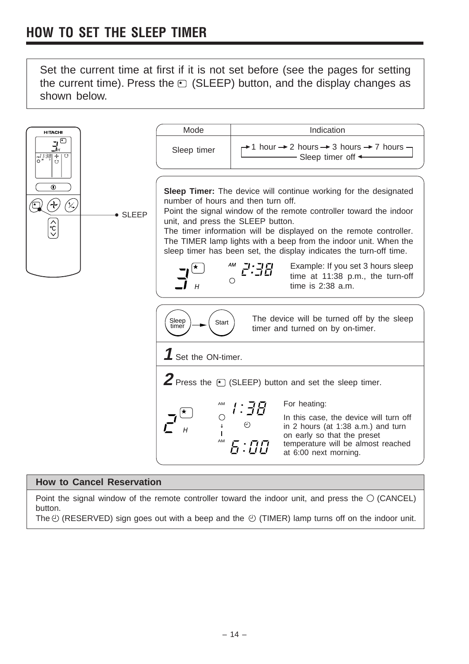Set the current time at first if it is not set before (see the pages for setting the current time). Press the  $\odot$  (SLEEP) button, and the display changes as shown below.



### **How to Cancel Reservation**

Point the signal window of the remote controller toward the indoor unit, and press the  $\bigcirc$  (CANCEL) button.

The  $\odot$  (RESERVED) sign goes out with a beep and the  $\odot$  (TIMER) lamp turns off on the indoor unit.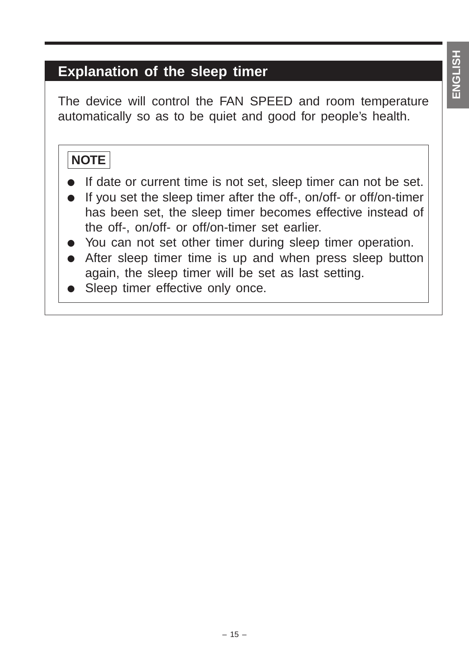## **Explanation of the sleep timer**

The device will control the FAN SPEED and room temperature automatically so as to be quiet and good for people's health.

## **NOTE**

- If date or current time is not set, sleep timer can not be set.
- If you set the sleep timer after the off-, on/off- or off/on-timer has been set, the sleep timer becomes effective instead of the off-, on/off- or off/on-timer set earlier.
- You can not set other timer during sleep timer operation.
- After sleep timer time is up and when press sleep button again, the sleep timer will be set as last setting.
- Sleep timer effective only once.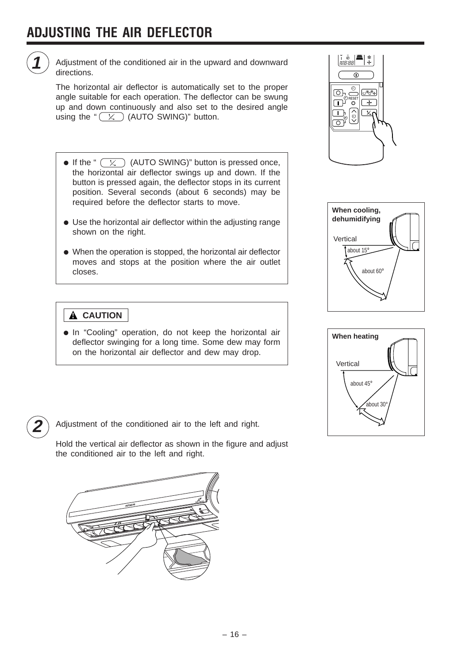

Adjustment of the conditioned air in the upward and downward directions.

The horizontal air deflector is automatically set to the proper angle suitable for each operation. The deflector can be swung up and down continuously and also set to the desired angle using the " $(x)$  (AUTO SWING)" button.

- If the "  $\overline{(\times)}$  (AUTO SWING)" button is pressed once, the horizontal air deflector swings up and down. If the button is pressed again, the deflector stops in its current position. Several seconds (about 6 seconds) may be required before the deflector starts to move.
- Use the horizontal air deflector within the adjusting range shown on the right.
- When the operation is stopped, the horizontal air deflector moves and stops at the position where the air outlet closes.

## **! CAUTION**

● In "Cooling" operation, do not keep the horizontal air deflector swinging for a long time. Some dew may form on the horizontal air deflector and dew may drop.









**2** Adjustment of the conditioned air to the left and right.

Hold the vertical air deflector as shown in the figure and adjust the conditioned air to the left and right.

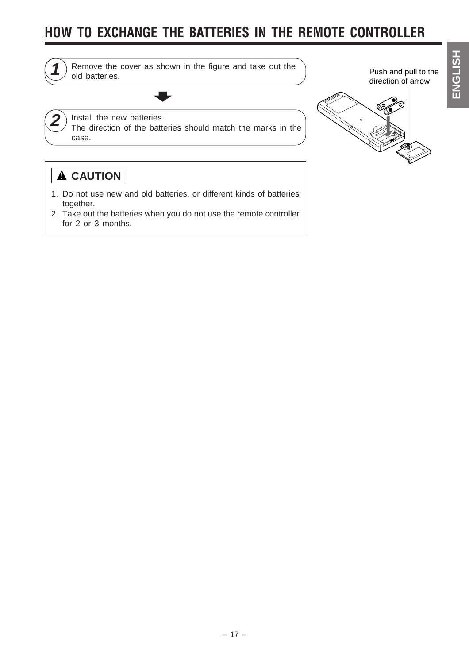## **HOW TO EXCHANGE THE BATTERIES IN THE REMOTE CONTROLLER**



1) Remove the cover as shown in the figure and take out the old batteries. =

Push and pull to the direction of arrow

## $2)$  Install the new batteries.

The direction of the batteries should match the marks in the case.



## **! CAUTION**

- 1. Do not use new and old batteries, or different kinds of batteries together.
- 2. Take out the batteries when you do not use the remote controller for 2 or 3 months.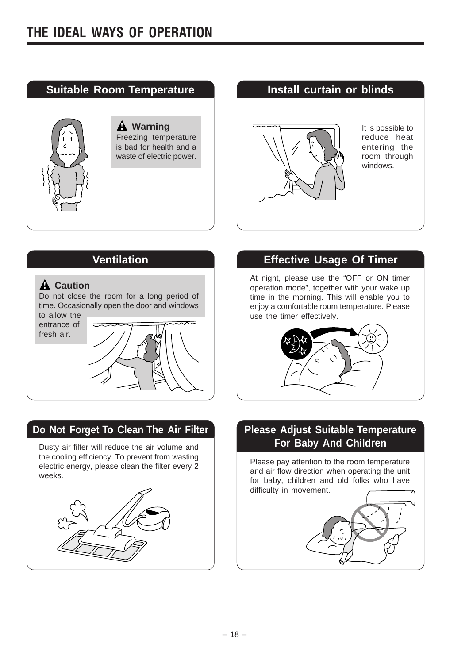

# **A** Warning **1 i**  $\overline{\phantom{a}}$  **i** is possible to reduce heat entering the room through windows.

## A Caution

Do not close the room for a long period of time. Occasionally open the door and windows

to allow the entrance of fresh air.



## **Do Not Forget To Clean The Air Filter Please Adjust Suitable Temperature**

Dusty air filter will reduce the air volume and the cooling efficiency. To prevent from wasting electric energy, please clean the filter every 2 weeks.



## **Ventilation Constraining Transformation** Effective Usage Of Timer

At night, please use the "OFF or ON timer operation mode", together with your wake up time in the morning. This will enable you to enjoy a comfortable room temperature. Please use the timer effectively.



# **For Baby And Children**

Please pay attention to the room temperature and air flow direction when operating the unit for baby, children and old folks who have difficulty in movement.

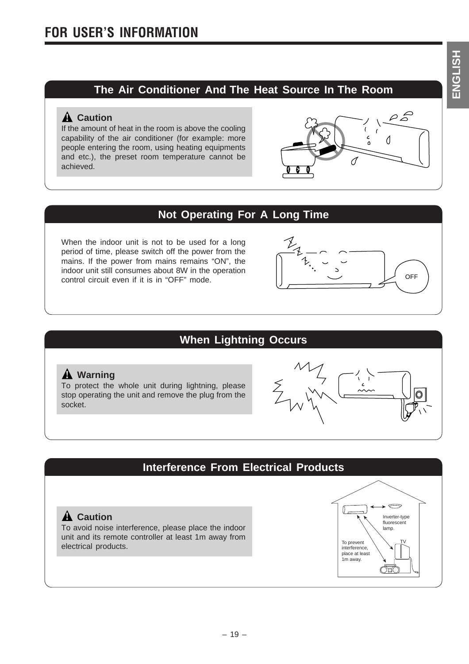## **The Air Conditioner And The Heat Source In The Room**

## A Caution

If the amount of heat in the room is above the cooling capability of the air conditioner (for example: more people entering the room, using heating equipments and etc.), the preset room temperature cannot be achieved.



## **Not Operating For A Long Time**

When the indoor unit is not to be used for a long period of time, please switch off the power from the mains. If the power from mains remains "ON", the indoor unit still consumes about 8W in the operation control circuit even if it is in "OFF" mode.



## **When Lightning Occurs**

### A Warning

To protect the whole unit during lightning, please stop operating the unit and remove the plug from the socket.



## **Interference From Electrical Products**

To avoid noise interference, please place the indoor unit and its remote controller at least 1m away from electrical products.

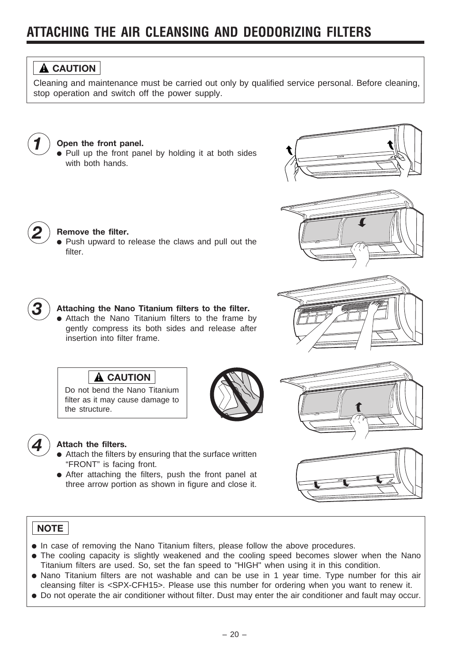## **ATTACHING THE AIR CLEANSING AND DEODORIZING FILTERS**



Cleaning and maintenance must be carried out only by qualified service personal. Before cleaning, stop operation and switch off the power supply.



### *1* **Open the front panel.**

*2* **Remove the filter.**

filter.

● Pull up the front panel by holding it at both sides with both hands.









### *3* **Attaching the Nano Titanium filters to the filter.**

● Push upward to release the claws and pull out the

● Attach the Nano Titanium filters to the frame by gently compress its both sides and release after insertion into filter frame.





### *4* **Attach the filters.**

the structure.

**A** CAUTION Do not bend the Nano Titanium filter as it may cause damage to

- Attach the filters by ensuring that the surface written "FRONT" is facing front.
- After attaching the filters, push the front panel at three arrow portion as shown in figure and close it.



## **NOTE**

- In case of removing the Nano Titanium filters, please follow the above procedures.
- The cooling capacity is slightly weakened and the cooling speed becomes slower when the Nano Titanium filters are used. So, set the fan speed to "HIGH" when using it in this condition.
- Nano Titanium filters are not washable and can be use in 1 year time. Type number for this air cleansing filter is <SPX-CFH15>. Please use this number for ordering when you want to renew it.
- Do not operate the air conditioner without filter. Dust may enter the air conditioner and fault may occur.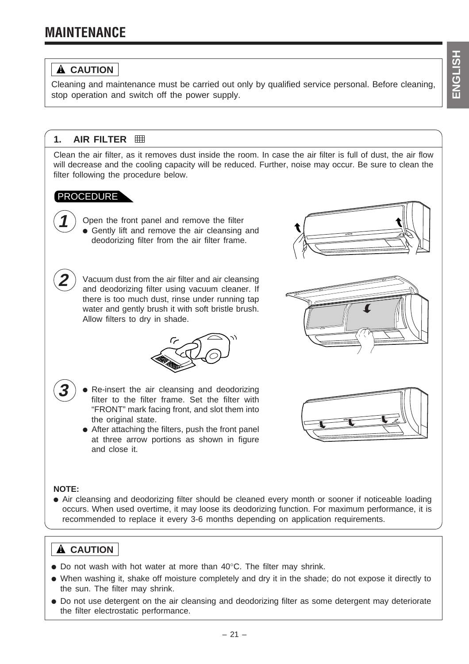## **MAINTENANCE**

## **! CAUTION**

Cleaning and maintenance must be carried out only by qualified service personal. Before cleaning, stop operation and switch off the power supply.

## **1. AIR FILTER**

Clean the air filter, as it removes dust inside the room. In case the air filter is full of dust, the air flow will decrease and the cooling capacity will be reduced. Further, noise may occur. Be sure to clean the filter following the procedure below.

## PROCEDURE

**1** Open the front panel and remove the filter ● Gently lift and remove the air cleansing and deodorizing filter from the air filter frame.

**2** Vacuum dust from the air filter and air cleansing and deodorizing filter using vacuum cleaner. If there is too much dust, rinse under running tap water and gently brush it with soft bristle brush. Allow filters to dry in shade.

**B** Re-insert the air cleansing and deodorizing filter to the filter frame. Set the filter with

"FRONT" mark facing front, and slot them into

the original state. ● After attaching the filters, push the front panel at three arrow portions as shown in figure and close it.







### **NOTE:**

• Air cleansing and deodorizing filter should be cleaned every month or sooner if noticeable loading occurs. When used overtime, it may loose its deodorizing function. For maximum performance, it is recommended to replace it every 3-6 months depending on application requirements.

## **! CAUTION**

- $\bullet$  Do not wash with hot water at more than 40 $\degree$ C. The filter may shrink.
- When washing it, shake off moisture completely and dry it in the shade; do not expose it directly to the sun. The filter may shrink.
- Do not use detergent on the air cleansing and deodorizing filter as some detergent may deteriorate the filter electrostatic performance.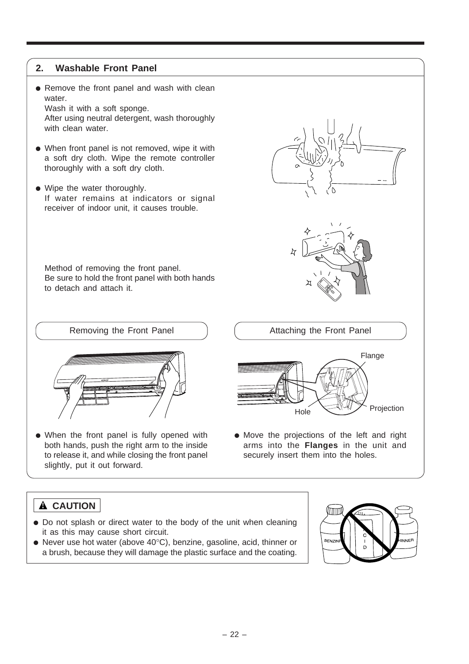### **2. Washable Front Panel**

• Remove the front panel and wash with clean water.

Wash it with a soft sponge. After using neutral detergent, wash thoroughly with clean water.

- When front panel is not removed, wipe it with a soft dry cloth. Wipe the remote controller thoroughly with a soft dry cloth.
- Wipe the water thoroughly. If water remains at indicators or signal receiver of indoor unit, it causes trouble.

Method of removing the front panel. Be sure to hold the front panel with both hands to detach and attach it.





- When the front panel is fully opened with both hands, push the right arm to the inside to release it, and while closing the front panel slightly, put it out forward.
- Attaching the Front Panel Flange
- Move the projections of the left and right arms into the **Flanges** in the unit and securely insert them into the holes.

Hole

## **! CAUTION**

- Do not splash or direct water to the body of the unit when cleaning it as this may cause short circuit.
- Never use hot water (above 40°C), benzine, gasoline, acid, thinner or a brush, because they will damage the plastic surface and the coating.



Projection

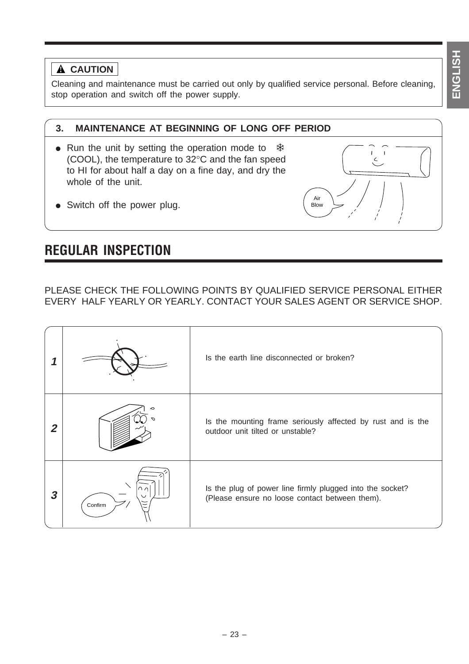## **A** CAUTION

Cleaning and maintenance must be carried out only by qualified service personal. Before cleaning, stop operation and switch off the power supply.

## **3. MAINTENANCE AT BEGINNING OF LONG OFF PERIOD**

- Run the unit by setting the operation mode to  $*$ (COOL), the temperature to 32°C and the fan speed to HI for about half a day on a fine day, and dry the whole of the unit.
- $\zeta$ Air Blow

• Switch off the power plug.

## **REGULAR INSPECTION**

PLEASE CHECK THE FOLLOWING POINTS BY QUALIFIED SERVICE PERSONAL EITHER EVERY HALF YEARLY OR YEARLY. CONTACT YOUR SALES AGENT OR SERVICE SHOP.

|                  |               | Is the earth line disconnected or broken?                                                                   |
|------------------|---------------|-------------------------------------------------------------------------------------------------------------|
| 2                |               | Is the mounting frame seriously affected by rust and is the<br>outdoor unit tilted or unstable?             |
| $\boldsymbol{3}$ | ↷╭<br>Confirm | Is the plug of power line firmly plugged into the socket?<br>(Please ensure no loose contact between them). |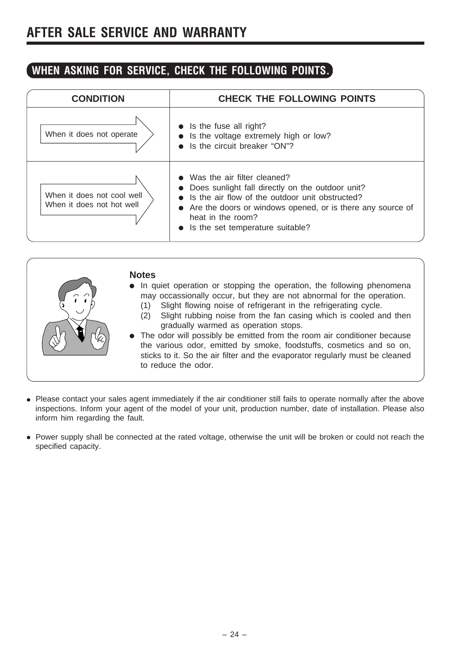## **AFTER SALE SERVICE AND WARRANTY**

## **WHEN ASKING FOR SERVICE, CHECK THE FOLLOWING POINTS.**

| <b>CONDITION</b>                                        | <b>CHECK THE FOLLOWING POINTS</b>                                                                                                                                                                                                                             |
|---------------------------------------------------------|---------------------------------------------------------------------------------------------------------------------------------------------------------------------------------------------------------------------------------------------------------------|
| When it does not operate                                | $\bullet$ Is the fuse all right?<br>Is the voltage extremely high or low?<br>• Is the circuit breaker "ON"?                                                                                                                                                   |
| When it does not cool well<br>When it does not hot well | Was the air filter cleaned?<br>Does sunlight fall directly on the outdoor unit?<br>• Is the air flow of the outdoor unit obstructed?<br>• Are the doors or windows opened, or is there any source of<br>heat in the room?<br>Is the set temperature suitable? |

| <b>Notes</b><br>• In quiet operation or stopping the operation, the following phenomena<br>may occassionally occur, but they are not abnormal for the operation.<br>Slight flowing noise of refrigerant in the refrigerating cycle.<br>(1)<br>Slight rubbing noise from the fan casing which is cooled and then<br>(2)<br>gradually warmed as operation stops.<br>• The odor will possibly be emitted from the room air conditioner because<br>the various odor, emitted by smoke, foodstuffs, cosmetics and so on,<br>sticks to it. So the air filter and the evaporator regularly must be cleaned<br>to reduce the odor. |
|----------------------------------------------------------------------------------------------------------------------------------------------------------------------------------------------------------------------------------------------------------------------------------------------------------------------------------------------------------------------------------------------------------------------------------------------------------------------------------------------------------------------------------------------------------------------------------------------------------------------------|
|----------------------------------------------------------------------------------------------------------------------------------------------------------------------------------------------------------------------------------------------------------------------------------------------------------------------------------------------------------------------------------------------------------------------------------------------------------------------------------------------------------------------------------------------------------------------------------------------------------------------------|

- Please contact your sales agent immediately if the air conditioner still fails to operate normally after the above inspections. Inform your agent of the model of your unit, production number, date of installation. Please also inform him regarding the fault.
- Power supply shall be connected at the rated voltage, otherwise the unit will be broken or could not reach the specified capacity.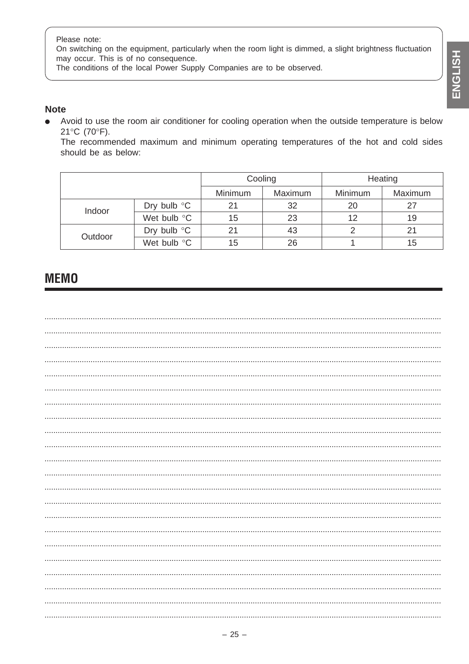Please note:

On switching on the equipment, particularly when the room light is dimmed, a slight brightness fluctuation may occur. This is of no consequence.

The conditions of the local Power Supply Companies are to be observed.

### **Note**

Avoid to use the room air conditioner for cooling operation when the outside temperature is below  $\bullet$ 21°C (70°F).

The recommended maximum and minimum operating temperatures of the hot and cold sides should be as below:

|         |                       | Cooling |         | Heating |         |
|---------|-----------------------|---------|---------|---------|---------|
|         |                       | Minimum | Maximum | Minimum | Maximum |
| Indoor  | Dry bulb $\mathrm{C}$ | 21      | 32      | 20      | 27      |
|         | Wet bulb °C           | 15      | 23      | 12      | 19      |
|         | Dry bulb $\mathrm{C}$ | 21      | 43      |         | 21      |
| Outdoor | Wet bulb °C           | 15      | 26      |         | 15      |

## **MEMO**